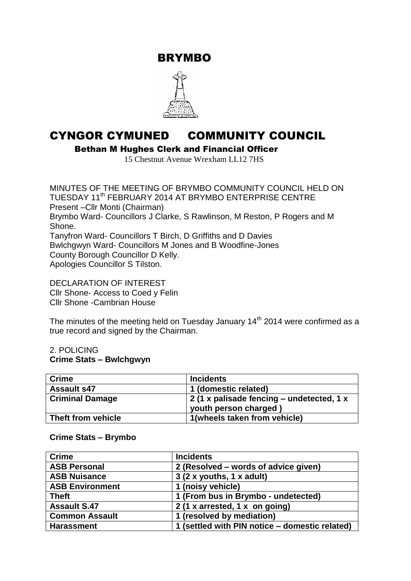BRYMBO



# CYNGOR CYMUNED COMMUNITY COUNCIL

Bethan M Hughes Clerk and Financial Officer

15 Chestnut Avenue Wrexham LL12 7HS

MINUTES OF THE MEETING OF BRYMBO COMMUNITY COUNCIL HELD ON TUESDAY 11<sup>th</sup> FEBRUARY 2014 AT BRYMBO ENTERPRISE CENTRE Present –Cllr Monti (Chairman) Brymbo Ward- Councillors J Clarke, S Rawlinson, M Reston, P Rogers and M Shone. Tanyfron Ward- Councillors T Birch, D Griffiths and D Davies Bwlchgwyn Ward- Councillors M Jones and B Woodfine-Jones County Borough Councillor D Kelly. Apologies Councillor S Tilston.

DECLARATION OF INTEREST Cllr Shone- Access to Coed y Felin Cllr Shone -Cambrian House

The minutes of the meeting held on Tuesday January  $14<sup>th</sup>$  2014 were confirmed as a true record and signed by the Chairman.

#### 2. POLICING **Crime Stats – Bwlchgwyn**

| <b>Crime</b>           | <b>Incidents</b>                          |
|------------------------|-------------------------------------------|
| <b>Assault s47</b>     | 1 (domestic related)                      |
| <b>Criminal Damage</b> | 2 (1 x palisade fencing – undetected, 1 x |
|                        | youth person charged)                     |
| Theft from vehicle     | 1(wheels taken from vehicle)              |

#### **Crime Stats – Brymbo**

| <b>Crime</b>           | <b>Incidents</b>                               |
|------------------------|------------------------------------------------|
| <b>ASB Personal</b>    | 2 (Resolved – words of advice given)           |
| <b>ASB Nuisance</b>    | $3(2 \times$ youths, 1 x adult)                |
| <b>ASB Environment</b> | 1 (noisy vehicle)                              |
| <b>Theft</b>           | 1 (From bus in Brymbo - undetected)            |
| <b>Assault S.47</b>    | 2 (1 x arrested, 1 x on going)                 |
| <b>Common Assault</b>  | 1 (resolved by mediation)                      |
| <b>Harassment</b>      | 1 (settled with PIN notice - domestic related) |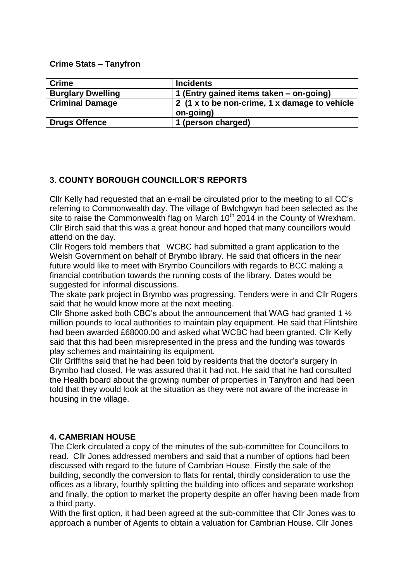**Crime Stats – Tanyfron**

| <b>Crime</b>             | <b>Incidents</b>                              |
|--------------------------|-----------------------------------------------|
|                          |                                               |
| <b>Burglary Dwelling</b> | 1 (Entry gained items taken – on-going)       |
| <b>Criminal Damage</b>   | 2 (1 x to be non-crime, 1 x damage to vehicle |
|                          | on-going)                                     |
| <b>Drugs Offence</b>     | 1 (person charged)                            |

## **3. COUNTY BOROUGH COUNCILLOR'S REPORTS**

Cllr Kelly had requested that an e-mail be circulated prior to the meeting to all CC's referring to Commonwealth day. The village of Bwlchgwyn had been selected as the site to raise the Commonwealth flag on March  $10<sup>th</sup>$  2014 in the County of Wrexham. Cllr Birch said that this was a great honour and hoped that many councillors would attend on the day.

Cllr Rogers told members that WCBC had submitted a grant application to the Welsh Government on behalf of Brymbo library. He said that officers in the near future would like to meet with Brymbo Councillors with regards to BCC making a financial contribution towards the running costs of the library. Dates would be suggested for informal discussions.

The skate park project in Brymbo was progressing. Tenders were in and Cllr Rogers said that he would know more at the next meeting.

Cllr Shone asked both CBC's about the announcement that WAG had granted 1 ½ million pounds to local authorities to maintain play equipment. He said that Flintshire had been awarded £68000.00 and asked what WCBC had been granted. Cllr Kelly said that this had been misrepresented in the press and the funding was towards play schemes and maintaining its equipment.

Cllr Griffiths said that he had been told by residents that the doctor's surgery in Brymbo had closed. He was assured that it had not. He said that he had consulted the Health board about the growing number of properties in Tanyfron and had been told that they would look at the situation as they were not aware of the increase in housing in the village.

## **4. CAMBRIAN HOUSE**

The Clerk circulated a copy of the minutes of the sub-committee for Councillors to read. Cllr Jones addressed members and said that a number of options had been discussed with regard to the future of Cambrian House. Firstly the sale of the building, secondly the conversion to flats for rental, thirdly consideration to use the offices as a library, fourthly splitting the building into offices and separate workshop and finally, the option to market the property despite an offer having been made from a third party.

With the first option, it had been agreed at the sub-committee that Cllr Jones was to approach a number of Agents to obtain a valuation for Cambrian House. Cllr Jones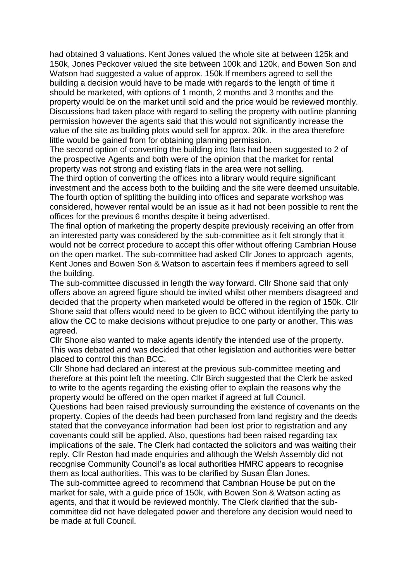had obtained 3 valuations. Kent Jones valued the whole site at between 125k and 150k, Jones Peckover valued the site between 100k and 120k, and Bowen Son and Watson had suggested a value of approx. 150k.If members agreed to sell the building a decision would have to be made with regards to the length of time it should be marketed, with options of 1 month, 2 months and 3 months and the property would be on the market until sold and the price would be reviewed monthly. Discussions had taken place with regard to selling the property with outline planning permission however the agents said that this would not significantly increase the value of the site as building plots would sell for approx. 20k. in the area therefore little would be gained from for obtaining planning permission.

The second option of converting the building into flats had been suggested to 2 of the prospective Agents and both were of the opinion that the market for rental property was not strong and existing flats in the area were not selling.

The third option of converting the offices into a library would require significant investment and the access both to the building and the site were deemed unsuitable. The fourth option of splitting the building into offices and separate workshop was considered, however rental would be an issue as it had not been possible to rent the offices for the previous 6 months despite it being advertised.

The final option of marketing the property despite previously receiving an offer from an interested party was considered by the sub-committee as it felt strongly that it would not be correct procedure to accept this offer without offering Cambrian House on the open market. The sub-committee had asked Cllr Jones to approach agents, Kent Jones and Bowen Son & Watson to ascertain fees if members agreed to sell the building.

The sub-committee discussed in length the way forward. Cllr Shone said that only offers above an agreed figure should be invited whilst other members disagreed and decided that the property when marketed would be offered in the region of 150k. Cllr Shone said that offers would need to be given to BCC without identifying the party to allow the CC to make decisions without prejudice to one party or another. This was agreed.

Cllr Shone also wanted to make agents identify the intended use of the property. This was debated and was decided that other legislation and authorities were better placed to control this than BCC.

Cllr Shone had declared an interest at the previous sub-committee meeting and therefore at this point left the meeting. Cllr Birch suggested that the Clerk be asked to write to the agents regarding the existing offer to explain the reasons why the property would be offered on the open market if agreed at full Council.

Questions had been raised previously surrounding the existence of covenants on the property. Copies of the deeds had been purchased from land registry and the deeds stated that the conveyance information had been lost prior to registration and any covenants could still be applied. Also, questions had been raised regarding tax implications of the sale. The Clerk had contacted the solicitors and was waiting their reply. Cllr Reston had made enquiries and although the Welsh Assembly did not recognise Community Council's as local authorities HMRC appears to recognise them as local authorities. This was to be clarified by Susan Élan Jones. The sub-committee agreed to recommend that Cambrian House be put on the

market for sale, with a guide price of 150k, with Bowen Son & Watson acting as agents, and that it would be reviewed monthly. The Clerk clarified that the subcommittee did not have delegated power and therefore any decision would need to be made at full Council.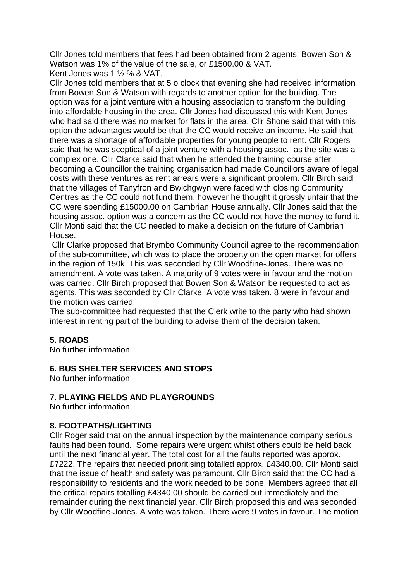Cllr Jones told members that fees had been obtained from 2 agents. Bowen Son & Watson was 1% of the value of the sale, or £1500.00 & VAT.

Kent Jones was 1 ½ % & VAT.

Cllr Jones told members that at 5 o clock that evening she had received information from Bowen Son & Watson with regards to another option for the building. The option was for a joint venture with a housing association to transform the building into affordable housing in the area. Cllr Jones had discussed this with Kent Jones who had said there was no market for flats in the area. Cllr Shone said that with this option the advantages would be that the CC would receive an income. He said that there was a shortage of affordable properties for young people to rent. Cllr Rogers said that he was sceptical of a joint venture with a housing assoc. as the site was a complex one. Cllr Clarke said that when he attended the training course after becoming a Councillor the training organisation had made Councillors aware of legal costs with these ventures as rent arrears were a significant problem. Cllr Birch said that the villages of Tanyfron and Bwlchgwyn were faced with closing Community Centres as the CC could not fund them, however he thought it grossly unfair that the CC were spending £15000.00 on Cambrian House annually. Cllr Jones said that the housing assoc. option was a concern as the CC would not have the money to fund it. Cllr Monti said that the CC needed to make a decision on the future of Cambrian House.

Cllr Clarke proposed that Brymbo Community Council agree to the recommendation of the sub-committee, which was to place the property on the open market for offers in the region of 150k. This was seconded by Cllr Woodfine-Jones. There was no amendment. A vote was taken. A majority of 9 votes were in favour and the motion was carried. Cllr Birch proposed that Bowen Son & Watson be requested to act as agents. This was seconded by Cllr Clarke. A vote was taken. 8 were in favour and the motion was carried.

The sub-committee had requested that the Clerk write to the party who had shown interest in renting part of the building to advise them of the decision taken.

## **5. ROADS**

No further information.

## **6. BUS SHELTER SERVICES AND STOPS**

No further information.

## **7. PLAYING FIELDS AND PLAYGROUNDS**

No further information.

## **8. FOOTPATHS/LIGHTING**

Cllr Roger said that on the annual inspection by the maintenance company serious faults had been found. Some repairs were urgent whilst others could be held back until the next financial year. The total cost for all the faults reported was approx. £7222. The repairs that needed prioritising totalled approx. £4340.00. Cllr Monti said that the issue of health and safety was paramount. Cllr Birch said that the CC had a responsibility to residents and the work needed to be done. Members agreed that all the critical repairs totalling £4340.00 should be carried out immediately and the remainder during the next financial year. Cllr Birch proposed this and was seconded by Cllr Woodfine-Jones. A vote was taken. There were 9 votes in favour. The motion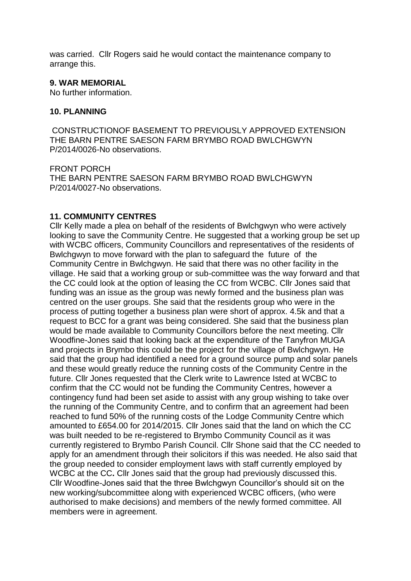was carried. Cllr Rogers said he would contact the maintenance company to arrange this.

#### **9. WAR MEMORIAL**

No further information.

#### **10. PLANNING**

CONSTRUCTIONOF BASEMENT TO PREVIOUSLY APPROVED EXTENSION THE BARN PENTRE SAESON FARM BRYMBO ROAD BWLCHGWYN P/2014/0026-No observations.

FRONT PORCH THE BARN PENTRE SAESON FARM BRYMBO ROAD BWLCHGWYN P/2014/0027-No observations.

#### **11. COMMUNITY CENTRES**

Cllr Kelly made a plea on behalf of the residents of Bwlchgwyn who were actively looking to save the Community Centre. He suggested that a working group be set up with WCBC officers, Community Councillors and representatives of the residents of Bwlchgwyn to move forward with the plan to safeguard the future of the Community Centre in Bwlchgwyn. He said that there was no other facility in the village. He said that a working group or sub-committee was the way forward and that the CC could look at the option of leasing the CC from WCBC. Cllr Jones said that funding was an issue as the group was newly formed and the business plan was centred on the user groups. She said that the residents group who were in the process of putting together a business plan were short of approx. 4.5k and that a request to BCC for a grant was being considered. She said that the business plan would be made available to Community Councillors before the next meeting. Cllr Woodfine-Jones said that looking back at the expenditure of the Tanyfron MUGA and projects in Brymbo this could be the project for the village of Bwlchgwyn. He said that the group had identified a need for a ground source pump and solar panels and these would greatly reduce the running costs of the Community Centre in the future. Cllr Jones requested that the Clerk write to Lawrence Isted at WCBC to confirm that the CC would not be funding the Community Centres, however a contingency fund had been set aside to assist with any group wishing to take over the running of the Community Centre, and to confirm that an agreement had been reached to fund 50% of the running costs of the Lodge Community Centre which amounted to £654.00 for 2014/2015. Cllr Jones said that the land on which the CC was built needed to be re-registered to Brymbo Community Council as it was currently registered to Brymbo Parish Council. Cllr Shone said that the CC needed to apply for an amendment through their solicitors if this was needed. He also said that the group needed to consider employment laws with staff currently employed by WCBC at the CC**.** Cllr Jones said that the group had previously discussed this. Cllr Woodfine-Jones said that the three Bwlchgwyn Councillor's should sit on the new working/subcommittee along with experienced WCBC officers, (who were authorised to make decisions) and members of the newly formed committee. All members were in agreement.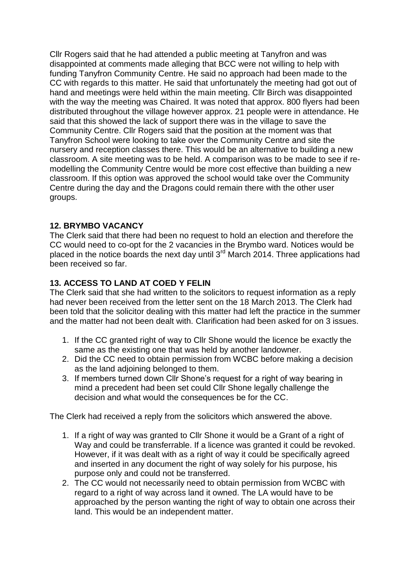Cllr Rogers said that he had attended a public meeting at Tanyfron and was disappointed at comments made alleging that BCC were not willing to help with funding Tanyfron Community Centre. He said no approach had been made to the CC with regards to this matter. He said that unfortunately the meeting had got out of hand and meetings were held within the main meeting. Cllr Birch was disappointed with the way the meeting was Chaired. It was noted that approx. 800 flyers had been distributed throughout the village however approx. 21 people were in attendance. He said that this showed the lack of support there was in the village to save the Community Centre. Cllr Rogers said that the position at the moment was that Tanyfron School were looking to take over the Community Centre and site the nursery and reception classes there. This would be an alternative to building a new classroom. A site meeting was to be held. A comparison was to be made to see if remodelling the Community Centre would be more cost effective than building a new classroom. If this option was approved the school would take over the Community Centre during the day and the Dragons could remain there with the other user groups.

#### **12. BRYMBO VACANCY**

The Clerk said that there had been no request to hold an election and therefore the CC would need to co-opt for the 2 vacancies in the Brymbo ward. Notices would be placed in the notice boards the next day until 3<sup>rd</sup> March 2014. Three applications had been received so far.

## **13. ACCESS TO LAND AT COED Y FELIN**

The Clerk said that she had written to the solicitors to request information as a reply had never been received from the letter sent on the 18 March 2013. The Clerk had been told that the solicitor dealing with this matter had left the practice in the summer and the matter had not been dealt with. Clarification had been asked for on 3 issues.

- 1. If the CC granted right of way to Cllr Shone would the licence be exactly the same as the existing one that was held by another landowner.
- 2. Did the CC need to obtain permission from WCBC before making a decision as the land adjoining belonged to them.
- 3. If members turned down Cllr Shone's request for a right of way bearing in mind a precedent had been set could Cllr Shone legally challenge the decision and what would the consequences be for the CC.

The Clerk had received a reply from the solicitors which answered the above.

- 1. If a right of way was granted to Cllr Shone it would be a Grant of a right of Way and could be transferrable. If a licence was granted it could be revoked. However, if it was dealt with as a right of way it could be specifically agreed and inserted in any document the right of way solely for his purpose, his purpose only and could not be transferred.
- 2. The CC would not necessarily need to obtain permission from WCBC with regard to a right of way across land it owned. The LA would have to be approached by the person wanting the right of way to obtain one across their land. This would be an independent matter.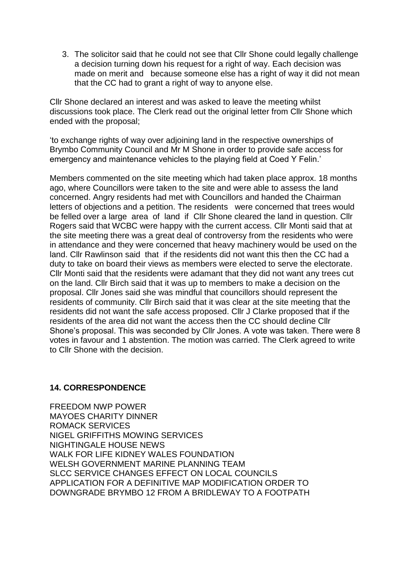3. The solicitor said that he could not see that Cllr Shone could legally challenge a decision turning down his request for a right of way. Each decision was made on merit and because someone else has a right of way it did not mean that the CC had to grant a right of way to anyone else.

Cllr Shone declared an interest and was asked to leave the meeting whilst discussions took place. The Clerk read out the original letter from Cllr Shone which ended with the proposal;

'to exchange rights of way over adjoining land in the respective ownerships of Brymbo Community Council and Mr M Shone in order to provide safe access for emergency and maintenance vehicles to the playing field at Coed Y Felin.'

Members commented on the site meeting which had taken place approx. 18 months ago, where Councillors were taken to the site and were able to assess the land concerned. Angry residents had met with Councillors and handed the Chairman letters of objections and a petition. The residents were concerned that trees would be felled over a large area of land if Cllr Shone cleared the land in question. Cllr Rogers said that WCBC were happy with the current access. Cllr Monti said that at the site meeting there was a great deal of controversy from the residents who were in attendance and they were concerned that heavy machinery would be used on the land. Cllr Rawlinson said that if the residents did not want this then the CC had a duty to take on board their views as members were elected to serve the electorate. Cllr Monti said that the residents were adamant that they did not want any trees cut on the land. Cllr Birch said that it was up to members to make a decision on the proposal. Cllr Jones said she was mindful that councillors should represent the residents of community. Cllr Birch said that it was clear at the site meeting that the residents did not want the safe access proposed. Cllr J Clarke proposed that if the residents of the area did not want the access then the CC should decline Cllr Shone's proposal. This was seconded by Cllr Jones. A vote was taken. There were 8 votes in favour and 1 abstention. The motion was carried. The Clerk agreed to write to Cllr Shone with the decision.

#### **14. CORRESPONDENCE**

FREEDOM NWP POWER MAYOES CHARITY DINNER ROMACK SERVICES NIGEL GRIFFITHS MOWING SERVICES NIGHTINGALE HOUSE NEWS WALK FOR LIFE KIDNEY WALES FOUNDATION WELSH GOVERNMENT MARINE PLANNING TEAM SLCC SERVICE CHANGES EFFECT ON LOCAL COUNCILS APPLICATION FOR A DEFINITIVE MAP MODIFICATION ORDER TO DOWNGRADE BRYMBO 12 FROM A BRIDLEWAY TO A FOOTPATH